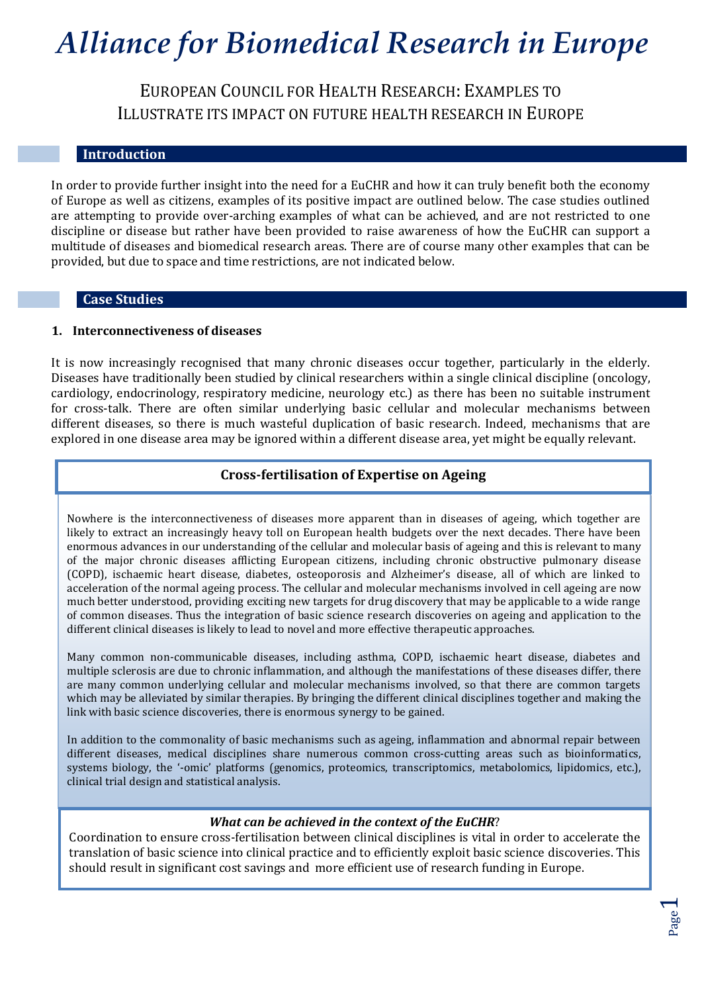EUROPEAN COUNCIL FOR HEALTH RESEARCH: EXAMPLES TO ILLUSTRATE ITS IMPACT ON FUTURE HEALTH RESEARCH IN EUROPE

### **Introduction**

In order to provide further insight into the need for a EuCHR and how it can truly benefit both the economy of Europe as well as citizens, examples of its positive impact are outlined below. The case studies outlined are attempting to provide over-arching examples of what can be achieved, and are not restricted to one discipline or disease but rather have been provided to raise awareness of how the EuCHR can support a multitude of diseases and biomedical research areas. There are of course many other examples that can be provided, but due to space and time restrictions, are not indicated below.

#### **Case Studies**

#### **1. Interconnectiveness of diseases**

It is now increasingly recognised that many chronic diseases occur together, particularly in the elderly. Diseases have traditionally been studied by clinical researchers within a single clinical discipline (oncology, cardiology, endocrinology, respiratory medicine, neurology etc.) as there has been no suitable instrument for cross-talk. There are often similar underlying basic cellular and molecular mechanisms between different diseases, so there is much wasteful duplication of basic research. Indeed, mechanisms that are explored in one disease area may be ignored within a different disease area, yet might be equally relevant.

### **Cross-fertilisation of Expertise on Ageing**

Nowhere is the interconnectiveness of diseases more apparent than in diseases of ageing, which together are likely to extract an increasingly heavy toll on European health budgets over the next decades. There have been enormous advances in our understanding of the cellular and molecular basis of ageing and this is relevant to many of the major chronic diseases afflicting European citizens, including chronic obstructive pulmonary disease (COPD), ischaemic heart disease, diabetes, osteoporosis and Alzheimer's disease, all of which are linked to acceleration of the normal ageing process. The cellular and molecular mechanisms involved in cell ageing are now much better understood, providing exciting new targets for drug discovery that may be applicable to a wide range of common diseases. Thus the integration of basic science research discoveries on ageing and application to the different clinical diseases is likely to lead to novel and more effective therapeutic approaches.

Many common non-communicable diseases, including asthma, COPD, ischaemic heart disease, diabetes and multiple sclerosis are due to chronic inflammation, and although the manifestations of these diseases differ, there are many common underlying cellular and molecular mechanisms involved, so that there are common targets which may be alleviated by similar therapies. By bringing the different clinical disciplines together and making the link with basic science discoveries, there is enormous synergy to be gained.

In addition to the commonality of basic mechanisms such as ageing, inflammation and abnormal repair between different diseases, medical disciplines share numerous common cross-cutting areas such as bioinformatics, systems biology, the '-omic' platforms (genomics, proteomics, transcriptomics, metabolomics, lipidomics, etc.), clinical trial design and statistical analysis.

#### *What can be achieved in the context of the EuCHR*?

Coordination to ensure cross-fertilisation between clinical disciplines is vital in order to accelerate the translation of basic science into clinical practice and to efficiently exploit basic science discoveries. This should result in significant cost savings and more efficient use of research funding in Europe.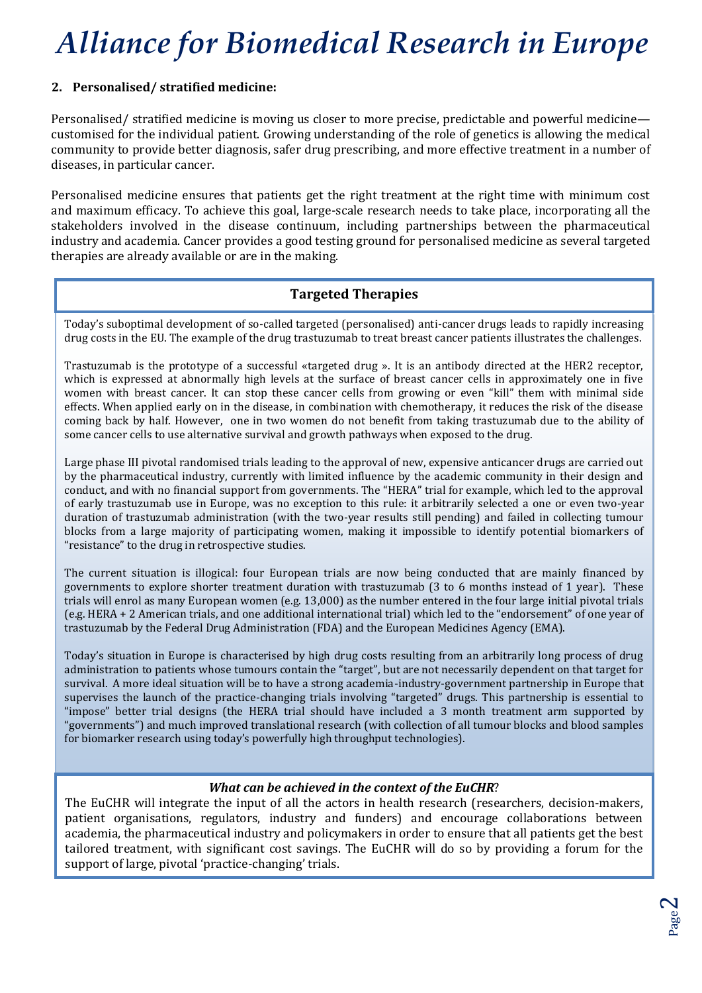## **2. Personalised/ stratified medicine:**

Personalised/ stratified medicine is moving us closer to more precise, predictable and powerful medicine customised for the individual patient. Growing understanding of the role of genetics is allowing the medical community to provide better diagnosis, safer drug prescribing, and more effective treatment in a number of diseases, in particular cancer.

Personalised medicine ensures that patients get the right treatment at the right time with minimum cost and maximum efficacy. To achieve this goal, large-scale research needs to take place, incorporating all the stakeholders involved in the disease continuum, including partnerships between the pharmaceutical industry and academia. Cancer provides a good testing ground for personalised medicine as several targeted therapies are already available or are in the making.

# **Targeted Therapies**

Today's suboptimal development of so-called targeted (personalised) anti-cancer drugs leads to rapidly increasing drug costs in the EU. The example of the drug trastuzumab to treat breast cancer patients illustrates the challenges.

Trastuzumab is the prototype of a successful «targeted drug ». It is an antibody directed at the HER2 receptor, which is expressed at abnormally high levels at the surface of breast cancer cells in approximately one in five women with breast cancer. It can stop these cancer cells from growing or even "kill" them with minimal side effects. When applied early on in the disease, in combination with chemotherapy, it reduces the risk of the disease coming back by half. However, one in two women do not benefit from taking trastuzumab due to the ability of some cancer cells to use alternative survival and growth pathways when exposed to the drug.

Large phase III pivotal randomised trials leading to the approval of new, expensive anticancer drugs are carried out by the pharmaceutical industry, currently with limited influence by the academic community in their design and conduct, and with no financial support from governments. The "HERA" trial for example, which led to the approval of early trastuzumab use in Europe, was no exception to this rule: it arbitrarily selected a one or even two-year duration of trastuzumab administration (with the two-year results still pending) and failed in collecting tumour blocks from a large majority of participating women, making it impossible to identify potential biomarkers of "resistance" to the drug in retrospective studies.

The current situation is illogical: four European trials are now being conducted that are mainly financed by governments to explore shorter treatment duration with trastuzumab (3 to 6 months instead of 1 year). These trials will enrol as many European women (e.g. 13,000) as the number entered in the four large initial pivotal trials (e.g. HERA + 2 American trials, and one additional international trial) which led to the "endorsement" of one year of trastuzumab by the Federal Drug Administration (FDA) and the European Medicines Agency (EMA).

Today's situation in Europe is characterised by high drug costs resulting from an arbitrarily long process of drug administration to patients whose tumours contain the "target", but are not necessarily dependent on that target for survival. A more ideal situation will be to have a strong academia-industry-government partnership in Europe that supervises the launch of the practice-changing trials involving "targeted" drugs. This partnership is essential to "impose" better trial designs (the HERA trial should have included a 3 month treatment arm supported by "governments") and much improved translational research (with collection of all tumour blocks and blood samples for biomarker research using today's powerfully high throughput technologies).

## *What can be achieved in the context of the EuCHR*?

The EuCHR will integrate the input of all the actors in health research (researchers, decision-makers, patient organisations, regulators, industry and funders) and encourage collaborations between academia, the pharmaceutical industry and policymakers in order to ensure that all patients get the best tailored treatment, with significant cost savings. The EuCHR will do so by providing a forum for the support of large, pivotal 'practice-changing' trials.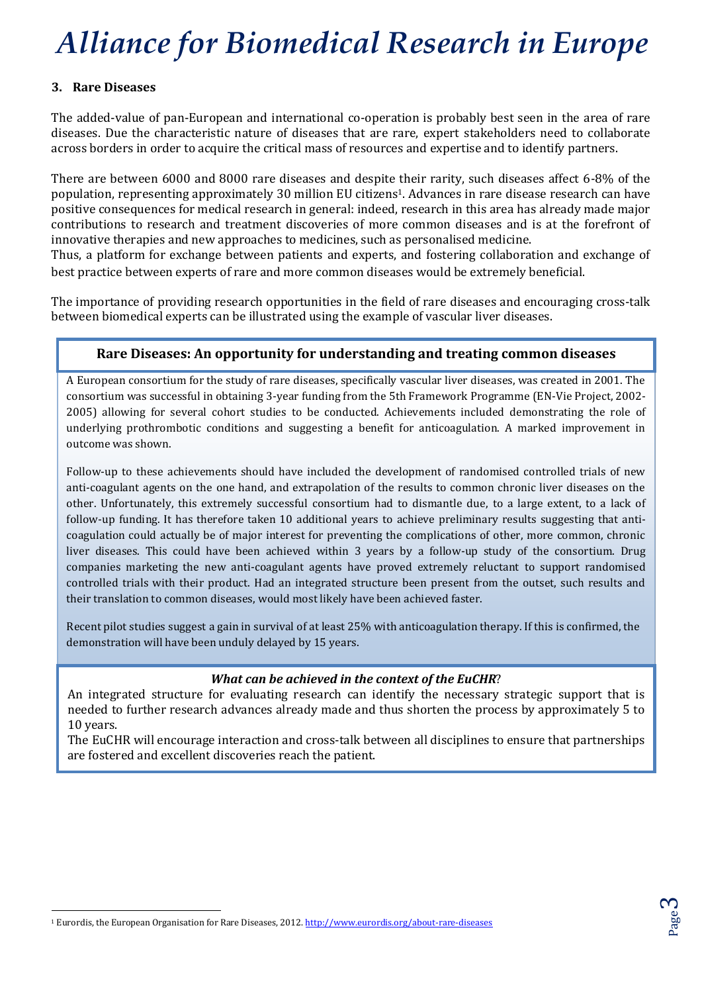## **3. Rare Diseases**

The added-value of pan-European and international co-operation is probably best seen in the area of rare diseases. Due the characteristic nature of diseases that are rare, expert stakeholders need to collaborate across borders in order to acquire the critical mass of resources and expertise and to identify partners.

There are between 6000 and 8000 rare diseases and despite their rarity, such diseases affect 6-8% of the population, representing approximately 30 million EU citizens1. Advances in rare disease research can have positive consequences for medical research in general: indeed, research in this area has already made major contributions to research and treatment discoveries of more common diseases and is at the forefront of innovative therapies and new approaches to medicines, such as personalised medicine.

Thus, a platform for exchange between patients and experts, and fostering collaboration and exchange of best practice between experts of rare and more common diseases would be extremely beneficial.

The importance of providing research opportunities in the field of rare diseases and encouraging cross-talk between biomedical experts can be illustrated using the example of vascular liver diseases.

## **Rare Diseases: An opportunity for understanding and treating common diseases**

A European consortium for the study of rare diseases, specifically vascular liver diseases, was created in 2001. The consortium was successful in obtaining 3-year funding from the 5th Framework Programme (EN-Vie Project, 2002- 2005) allowing for several cohort studies to be conducted. Achievements included demonstrating the role of underlying prothrombotic conditions and suggesting a benefit for anticoagulation. A marked improvement in outcome was shown.

Follow-up to these achievements should have included the development of randomised controlled trials of new anti-coagulant agents on the one hand, and extrapolation of the results to common chronic liver diseases on the other. Unfortunately, this extremely successful consortium had to dismantle due, to a large extent, to a lack of follow-up funding. It has therefore taken 10 additional years to achieve preliminary results suggesting that anticoagulation could actually be of major interest for preventing the complications of other, more common, chronic liver diseases. This could have been achieved within 3 years by a follow-up study of the consortium. Drug companies marketing the new anti-coagulant agents have proved extremely reluctant to support randomised controlled trials with their product. Had an integrated structure been present from the outset, such results and their translation to common diseases, would most likely have been achieved faster.

Recent pilot studies suggest a gain in survival of at least 25% with anticoagulation therapy. If this is confirmed, the demonstration will have been unduly delayed by 15 years.

## *What can be achieved in the context of the EuCHR*?

An integrated structure for evaluating research can identify the necessary strategic support that is needed to further research advances already made and thus shorten the process by approximately 5 to 10 years.

The EuCHR will encourage interaction and cross-talk between all disciplines to ensure that partnerships are fostered and excellent discoveries reach the patient.

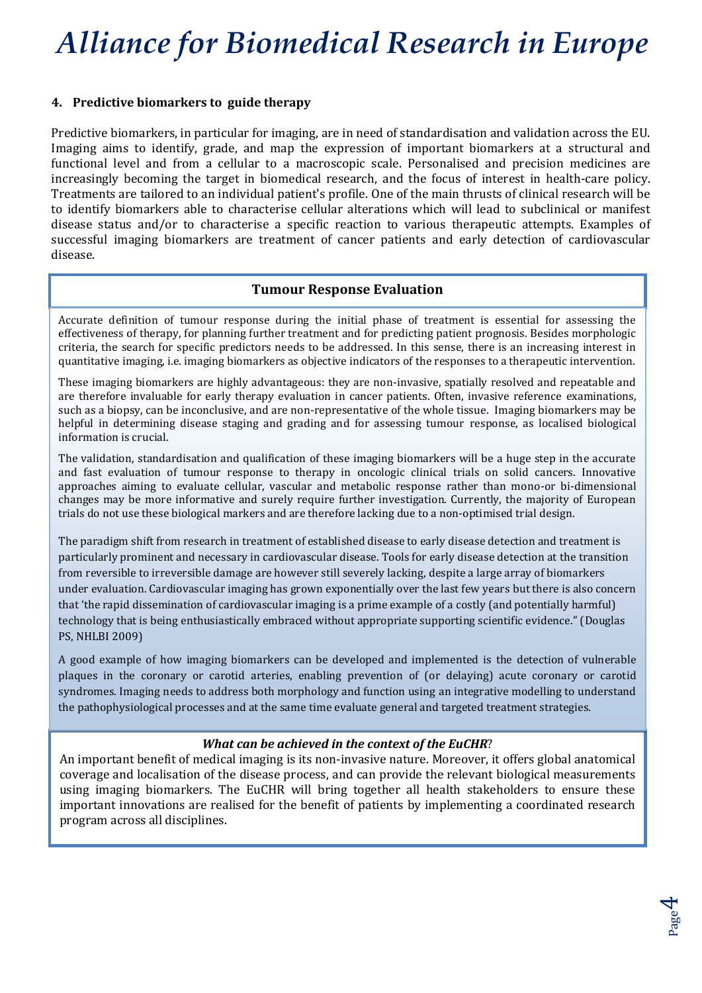### **4. Predictive biomarkers to guide therapy**

Predictive biomarkers, in particular for imaging, are in need of standardisation and validation across the EU. Imaging aims to identify, grade, and map the expression of important biomarkers at a structural and functional level and from a cellular to a macroscopic scale. Personalised and precision medicines are increasingly becoming the target in biomedical research, and the focus of interest in health-care policy. Treatments are tailored to an individual patient's profile. One of the main thrusts of clinical research will be to identify biomarkers able to characterise cellular alterations which will lead to subclinical or manifest disease status and/or to characterise a specific reaction to various therapeutic attempts. Examples of successful imaging biomarkers are treatment of cancer patients and early detection of cardiovascular disease.

### **Tumour Response Evaluation**

Accurate definition of tumour response during the initial phase of treatment is essential for assessing the effectiveness of therapy, for planning further treatment and for predicting patient prognosis. Besides morphologic criteria, the search for specific predictors needs to be addressed. In this sense, there is an increasing interest in quantitative imaging, i.e. imaging biomarkers as objective indicators of the responses to a therapeutic intervention.

These imaging biomarkers are highly advantageous: they are non-invasive, spatially resolved and repeatable and are therefore invaluable for early therapy evaluation in cancer patients. Often, invasive reference examinations, such as a biopsy, can be inconclusive, and are non-representative of the whole tissue. Imaging biomarkers may be helpful in determining disease staging and grading and for assessing tumour response, as localised biological information is crucial.

The validation, standardisation and qualification of these imaging biomarkers will be a huge step in the accurate and fast evaluation of tumour response to therapy in oncologic clinical trials on solid cancers. Innovative approaches aiming to evaluate cellular, vascular and metabolic response rather than mono-or bi-dimensional changes may be more informative and surely require further investigation. Currently, the majority of European trials do not use these biological markers and are therefore lacking due to a non-optimised trial design.

The paradigm shift from research in treatment of established disease to early disease detection and treatment is particularly prominent and necessary in cardiovascular disease. Tools for early disease detection at the transition from reversible to irreversible damage are however still severely lacking, despite a large array of biomarkers under evaluation. Cardiovascular imaging has grown exponentially over the last few years but there is also concern that 'the rapid dissemination of cardiovascular imaging is a prime example of a costly (and potentially harmful) technology that is being enthusiastically embraced without appropriate supporting scientific evidence." (Douglas PS, NHLBI 2009)

A good example of how imaging biomarkers can be developed and implemented is the detection of vulnerable plaques in the coronary or carotid arteries, enabling prevention of (or delaying) acute coronary or carotid syndromes. Imaging needs to address both morphology and function using an integrative modelling to understand the pathophysiological processes and at the same time evaluate general and targeted treatment strategies.

#### *What can be achieved in the context of the EuCHR*?

An important benefit of medical imaging is its non-invasive nature. Moreover, it offers global anatomical coverage and localisation of the disease process, and can provide the relevant biological measurements using imaging biomarkers. The EuCHR will bring together all health stakeholders to ensure these important innovations are realised for the benefit of patients by implementing a coordinated research program across all disciplines.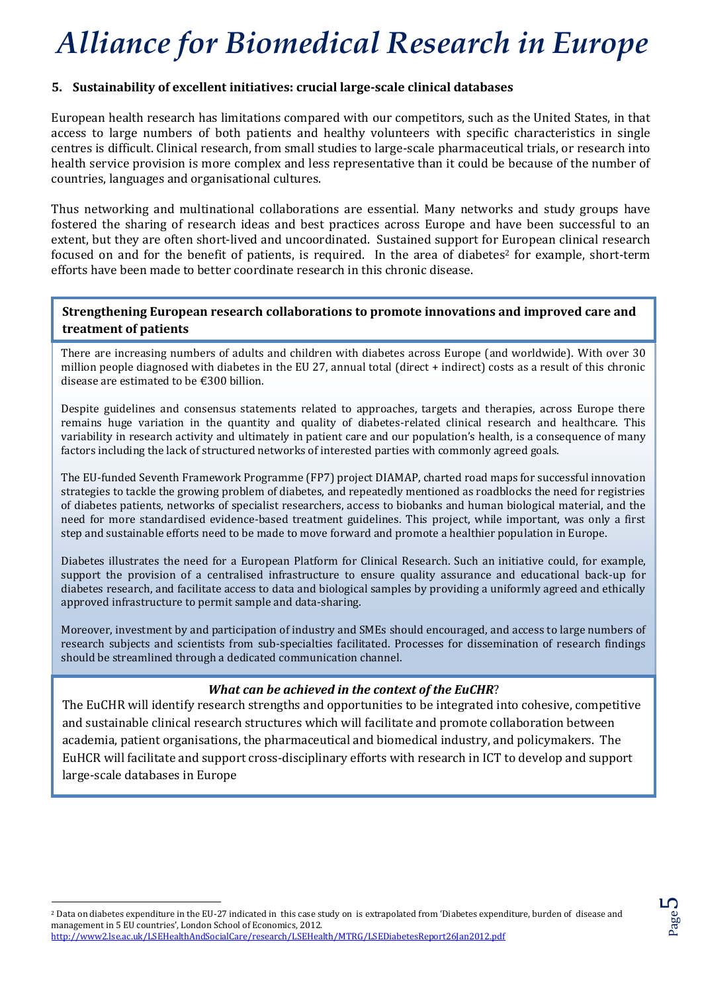### **5. Sustainability of excellent initiatives: crucial large-scale clinical databases**

European health research has limitations compared with our competitors, such as the United States, in that access to large numbers of both patients and healthy volunteers with specific characteristics in single centres is difficult. Clinical research, from small studies to large-scale pharmaceutical trials, or research into health service provision is more complex and less representative than it could be because of the number of countries, languages and organisational cultures.

Thus networking and multinational collaborations are essential. Many networks and study groups have fostered the sharing of research ideas and best practices across Europe and have been successful to an extent, but they are often short-lived and uncoordinated. Sustained support for European clinical research focused on and for the benefit of patients, is required. In the area of diabetes<sup>2</sup> for example, short-term efforts have been made to better coordinate research in this chronic disease.

## **Strengthening European research collaborations to promote innovations and improved care and treatment of patients**

There are increasing numbers of adults and children with diabetes across Europe (and worldwide). With over 30 million people diagnosed with diabetes in the EU 27, annual total (direct + indirect) costs as a result of this chronic disease are estimated to be €300 billion.

Despite guidelines and consensus statements related to approaches, targets and therapies, across Europe there remains huge variation in the quantity and quality of diabetes-related clinical research and healthcare. This variability in research activity and ultimately in patient care and our population's health, is a consequence of many factors including the lack of structured networks of interested parties with commonly agreed goals.

The EU-funded Seventh Framework Programme (FP7) project DIAMAP, charted road maps for successful innovation strategies to tackle the growing problem of diabetes, and repeatedly mentioned as roadblocks the need for registries of diabetes patients, networks of specialist researchers, access to biobanks and human biological material, and the need for more standardised evidence-based treatment guidelines. This project, while important, was only a first step and sustainable efforts need to be made to move forward and promote a healthier population in Europe.

Diabetes illustrates the need for a European Platform for Clinical Research. Such an initiative could, for example, support the provision of a centralised infrastructure to ensure quality assurance and educational back-up for diabetes research, and facilitate access to data and biological samples by providing a uniformly agreed and ethically approved infrastructure to permit sample and data-sharing.

Moreover, investment by and participation of industry and SMEs should encouraged, and access to large numbers of research subjects and scientists from sub-specialties facilitated. Processes for dissemination of research findings should be streamlined through a dedicated communication channel.

## *What can be achieved in the context of the EuCHR*?

The  $Ev(TD \text{ will identify research of results and amounts to the neutrality of the probability computation.}$ The EuCHR will identify research strengths and opportunities to be integrated into cohesive, competitive and sustainable clinical research structures which will facilitate and promote collaboration between academia, patient organisations, the pharmaceutical and biomedical industry, and policymakers. The EuHCR will facilitate and support cross-disciplinary efforts with research in ICT to develop and support large-scale databases in Europe

 $\overline{a}$ 

<sup>2</sup> Data on diabetes expenditure in the EU-27 indicated in this case study on is extrapolated from 'Diabetes expenditure, burden of disease and management in 5 EU countries', London School of Economics, 2012. <http://www2.lse.ac.uk/LSEHealthAndSocialCare/research/LSEHealth/MTRG/LSEDiabetesReport26Jan2012.pdf>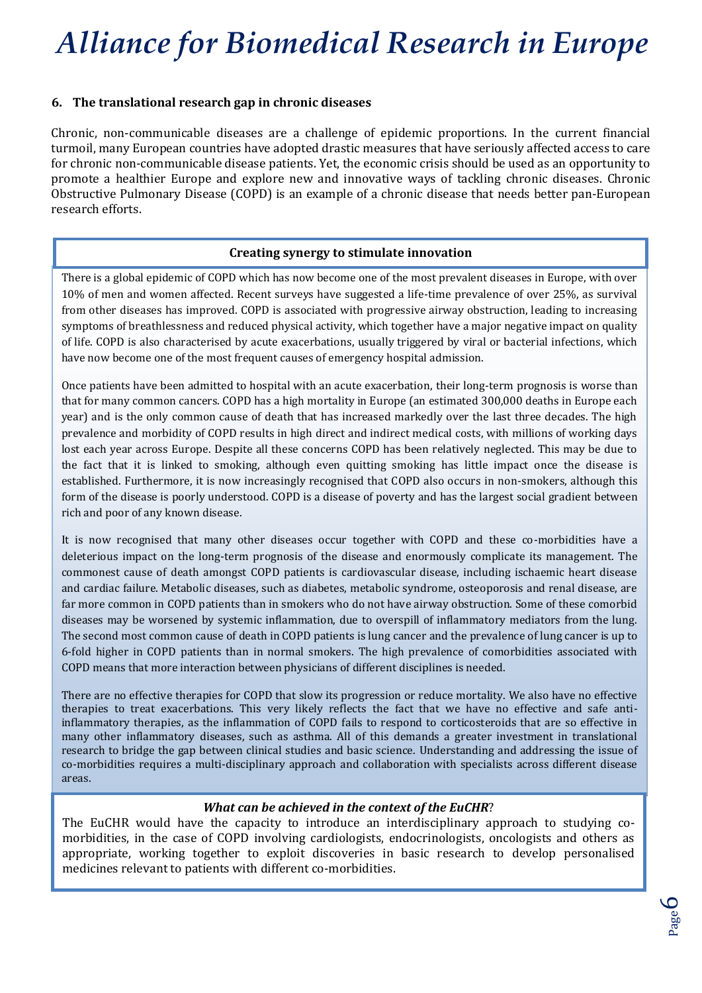### **6. The translational research gap in chronic diseases**

Chronic, non-communicable diseases are a challenge of epidemic proportions. In the current financial turmoil, many European countries have adopted drastic measures that have seriously affected access to care for chronic non-communicable disease patients. Yet, the economic crisis should be used as an opportunity to promote a healthier Europe and explore new and innovative ways of tackling chronic diseases. Chronic Obstructive Pulmonary Disease (COPD) is an example of a chronic disease that needs better pan-European research efforts.

### **Creating synergy to stimulate innovation**

There is a global epidemic of COPD which has now become one of the most prevalent diseases in Europe, with over 10% of men and women affected. Recent surveys have suggested a life-time prevalence of over 25%, as survival from other diseases has improved. COPD is associated with progressive airway obstruction, leading to increasing symptoms of breathlessness and reduced physical activity, which together have a major negative impact on quality of life. COPD is also characterised by acute exacerbations, usually triggered by viral or bacterial infections, which have now become one of the most frequent causes of emergency hospital admission.

Once patients have been admitted to hospital with an acute exacerbation, their long-term prognosis is worse than that for many common cancers. COPD has a high mortality in Europe (an estimated 300,000 deaths in Europe each year) and is the only common cause of death that has increased markedly over the last three decades. The high prevalence and morbidity of COPD results in high direct and indirect medical costs, with millions of working days lost each year across Europe. Despite all these concerns COPD has been relatively neglected. This may be due to the fact that it is linked to smoking, although even quitting smoking has little impact once the disease is established. Furthermore, it is now increasingly recognised that COPD also occurs in non-smokers, although this form of the disease is poorly understood. COPD is a disease of poverty and has the largest social gradient between rich and poor of any known disease.

It is now recognised that many other diseases occur together with COPD and these co-morbidities have a deleterious impact on the long-term prognosis of the disease and enormously complicate its management. The commonest cause of death amongst COPD patients is cardiovascular disease, including ischaemic heart disease and cardiac failure. Metabolic diseases, such as diabetes, metabolic syndrome, osteoporosis and renal disease, are far more common in COPD patients than in smokers who do not have airway obstruction. Some of these comorbid diseases may be worsened by systemic inflammation, due to overspill of inflammatory mediators from the lung. The second most common cause of death in COPD patients is lung cancer and the prevalence of lung cancer is up to 6-fold higher in COPD patients than in normal smokers. The high prevalence of comorbidities associated with COPD means that more interaction between physicians of different disciplines is needed.

There are no effective therapies for COPD that slow its progression or reduce mortality. We also have no effective therapies to treat exacerbations. This very likely reflects the fact that we have no effective and safe antiinflammatory therapies, as the inflammation of COPD fails to respond to corticosteroids that are so effective in many other inflammatory diseases, such as asthma. All of this demands a greater investment in translational research to bridge the gap between clinical studies and basic science. Understanding and addressing the issue of co-morbidities requires a multi-disciplinary approach and collaboration with specialists across different disease areas.

#### *What can be achieved in the context of the EuCHR*?

The EuCHR would have the capacity to introduce an interdisciplinary approach to studying comorbidities, in the case of COPD involving cardiologists, endocrinologists, oncologists and others as appropriate, working together to exploit discoveries in basic research to develop personalised medicines relevant to patients with different co-morbidities.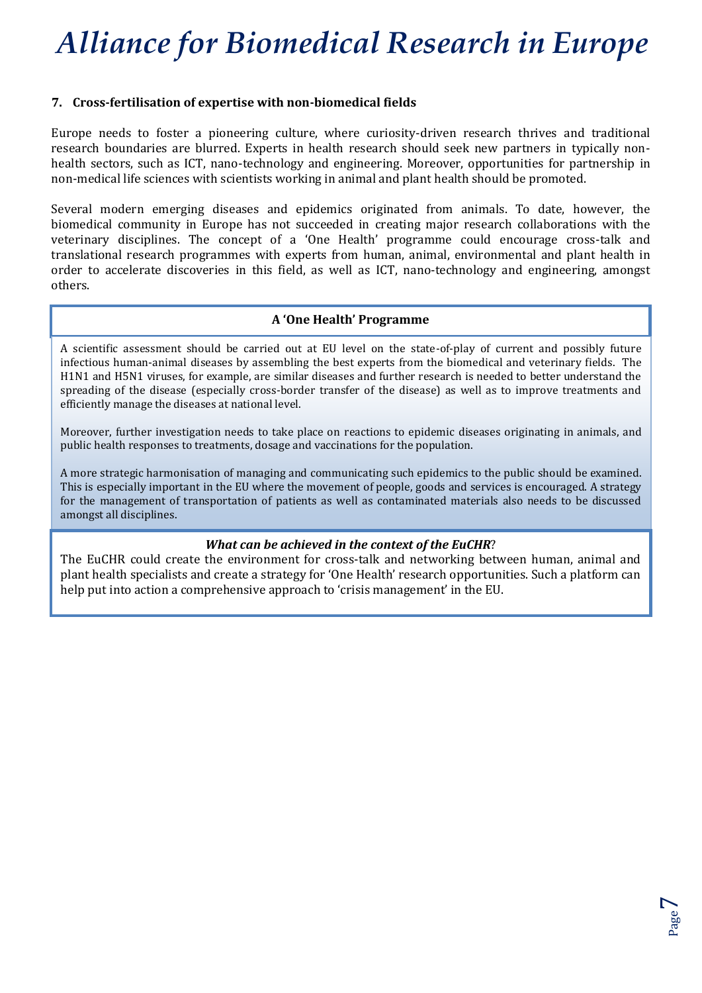### **7. Cross-fertilisation of expertise with non-biomedical fields**

Europe needs to foster a pioneering culture, where curiosity-driven research thrives and traditional research boundaries are blurred. Experts in health research should seek new partners in typically nonhealth sectors, such as ICT, nano-technology and engineering. Moreover, opportunities for partnership in non-medical life sciences with scientists working in animal and plant health should be promoted.

Several modern emerging diseases and epidemics originated from animals. To date, however, the biomedical community in Europe has not succeeded in creating major research collaborations with the veterinary disciplines. The concept of a 'One Health' programme could encourage cross-talk and translational research programmes with experts from human, animal, environmental and plant health in order to accelerate discoveries in this field, as well as ICT, nano-technology and engineering, amongst others.

### **A 'One Health' Programme**

A scientific assessment should be carried out at EU level on the state-of-play of current and possibly future infectious human-animal diseases by assembling the best experts from the biomedical and veterinary fields. The H1N1 and H5N1 viruses, for example, are similar diseases and further research is needed to better understand the spreading of the disease (especially cross-border transfer of the disease) as well as to improve treatments and efficiently manage the diseases at national level.

Moreover, further investigation needs to take place on reactions to epidemic diseases originating in animals, and public health responses to treatments, dosage and vaccinations for the population.

A more strategic harmonisation of managing and communicating such epidemics to the public should be examined. This is especially important in the EU where the movement of people, goods and services is encouraged. A strategy for the management of transportation of patients as well as contaminated materials also needs to be discussed amongst all disciplines.

#### *What can be achieved in the context of the EuCHR*?

The EuCHR could create the environment for cross-talk and networking between human, animal and plant health specialists and create a strategy for 'One Health' research opportunities. Such a platform can help put into action a comprehensive approach to 'crisis management' in the EU.